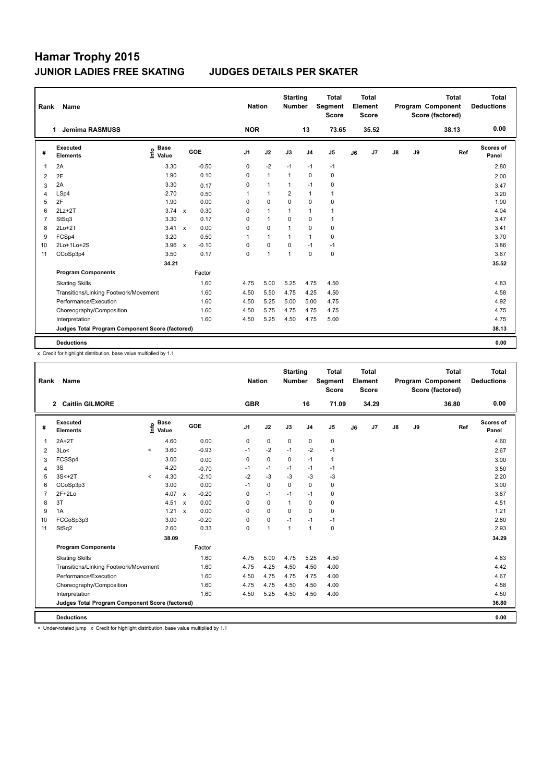| Rank           | Name                                            |                            |              |         |                | <b>Nation</b>  | <b>Starting</b><br><b>Number</b> |                | <b>Total</b><br>Segment<br><b>Score</b> |    | <b>Total</b><br>Element<br><b>Score</b> |               |    | <b>Total</b><br>Program Component<br>Score (factored) | <b>Total</b><br><b>Deductions</b> |
|----------------|-------------------------------------------------|----------------------------|--------------|---------|----------------|----------------|----------------------------------|----------------|-----------------------------------------|----|-----------------------------------------|---------------|----|-------------------------------------------------------|-----------------------------------|
|                | <b>Jemima RASMUSS</b><br>1                      |                            |              |         | <b>NOR</b>     |                |                                  | 13             | 73.65                                   |    | 35.52                                   |               |    | 38.13                                                 | 0.00                              |
| #              | Executed<br><b>Elements</b>                     | <b>Base</b><br>۴۵<br>Value |              | GOE     | J <sub>1</sub> | J2             | J3                               | J <sub>4</sub> | J <sub>5</sub>                          | J6 | J <sub>7</sub>                          | $\mathsf{J}8$ | J9 | Ref                                                   | Scores of<br>Panel                |
| 1              | 2A                                              | 3.30                       |              | $-0.50$ | 0              | $-2$           | $-1$                             | $-1$           | $-1$                                    |    |                                         |               |    |                                                       | 2.80                              |
| 2              | 2F                                              | 1.90                       |              | 0.10    | $\Omega$       | $\mathbf{1}$   | 1                                | $\mathbf 0$    | $\pmb{0}$                               |    |                                         |               |    |                                                       | 2.00                              |
| 3              | 2A                                              | 3.30                       |              | 0.17    | 0              | $\mathbf{1}$   | $\mathbf{1}$                     | $-1$           | $\pmb{0}$                               |    |                                         |               |    |                                                       | 3.47                              |
| 4              | LSp4                                            | 2.70                       |              | 0.50    | 1              | $\mathbf{1}$   | 2                                | $\mathbf{1}$   | $\mathbf{1}$                            |    |                                         |               |    |                                                       | 3.20                              |
| 5              | 2F                                              | 1.90                       |              | 0.00    | 0              | 0              | 0                                | 0              | 0                                       |    |                                         |               |    |                                                       | 1.90                              |
| 6              | $2Lz+2T$                                        | 3.74                       | $\mathsf{x}$ | 0.30    | 0              | $\mathbf{1}$   | 1                                | $\mathbf{1}$   | $\mathbf{1}$                            |    |                                         |               |    |                                                       | 4.04                              |
| $\overline{7}$ | StSq3                                           | 3.30                       |              | 0.17    | 0              | $\mathbf{1}$   | 0                                | $\mathbf 0$    | $\mathbf{1}$                            |    |                                         |               |    |                                                       | 3.47                              |
| 8              | $2Lo+2T$                                        | 3.41                       | $\mathsf{x}$ | 0.00    | 0              | $\mathbf 0$    | $\mathbf{1}$                     | $\mathbf 0$    | 0                                       |    |                                         |               |    |                                                       | 3.41                              |
| 9              | FCSp4                                           | 3.20                       |              | 0.50    | 1              | $\mathbf{1}$   | $\mathbf{1}$                     | $\mathbf{1}$   | 0                                       |    |                                         |               |    |                                                       | 3.70                              |
| 10             | $2Lo+1Lo+2S$                                    | 3.96                       | $\mathsf{x}$ | $-0.10$ | 0              | $\mathbf 0$    | $\Omega$                         | $-1$           | $-1$                                    |    |                                         |               |    |                                                       | 3.86                              |
| 11             | CCoSp3p4                                        | 3.50                       |              | 0.17    | 0              | $\overline{1}$ | $\overline{1}$                   | $\mathbf 0$    | $\pmb{0}$                               |    |                                         |               |    |                                                       | 3.67                              |
|                |                                                 | 34.21                      |              |         |                |                |                                  |                |                                         |    |                                         |               |    |                                                       | 35.52                             |
|                | <b>Program Components</b>                       |                            |              | Factor  |                |                |                                  |                |                                         |    |                                         |               |    |                                                       |                                   |
|                | <b>Skating Skills</b>                           |                            |              | 1.60    | 4.75           | 5.00           | 5.25                             | 4.75           | 4.50                                    |    |                                         |               |    |                                                       | 4.83                              |
|                | Transitions/Linking Footwork/Movement           |                            |              | 1.60    | 4.50           | 5.50           | 4.75                             | 4.25           | 4.50                                    |    |                                         |               |    |                                                       | 4.58                              |
|                | Performance/Execution                           |                            |              | 1.60    | 4.50           | 5.25           | 5.00                             | 5.00           | 4.75                                    |    |                                         |               |    |                                                       | 4.92                              |
|                | Choreography/Composition                        |                            |              | 1.60    | 4.50           | 5.75           | 4.75                             | 4.75           | 4.75                                    |    |                                         |               |    |                                                       | 4.75                              |
|                | Interpretation                                  |                            |              | 1.60    | 4.50           | 5.25           | 4.50                             | 4.75           | 5.00                                    |    |                                         |               |    |                                                       | 4.75                              |
|                | Judges Total Program Component Score (factored) |                            |              |         |                |                |                                  |                |                                         |    |                                         |               |    |                                                       | 38.13                             |
|                | <b>Deductions</b>                               |                            |              |         |                |                |                                  |                |                                         |    |                                         |               |    |                                                       | 0.00                              |

x Credit for highlight distribution, base value multiplied by 1.1

| Rank           | <b>Name</b>                                     |          |                      |         | <b>Nation</b>  |              | <b>Starting</b><br><b>Number</b> |                | <b>Total</b><br>Segment<br><b>Score</b> |    | <b>Total</b><br>Element<br><b>Score</b> |               |    | <b>Total</b><br>Program Component<br>Score (factored) |     | <b>Total</b><br><b>Deductions</b> |
|----------------|-------------------------------------------------|----------|----------------------|---------|----------------|--------------|----------------------------------|----------------|-----------------------------------------|----|-----------------------------------------|---------------|----|-------------------------------------------------------|-----|-----------------------------------|
|                | 2 Caitlin GILMORE                               |          |                      |         | <b>GBR</b>     |              |                                  | 16             | 71.09                                   |    | 34.29                                   |               |    | 36.80                                                 |     | 0.00                              |
| #              | Executed<br><b>Elements</b>                     | ١nfo     | <b>Base</b><br>Value | GOE     | J <sub>1</sub> | J2           | J3                               | J <sub>4</sub> | J <sub>5</sub>                          | J6 | J7                                      | $\mathsf{J}8$ | J9 |                                                       | Ref | Scores of<br>Panel                |
| 1              | $2A+2T$                                         |          | 4.60                 | 0.00    | 0              | 0            | $\mathbf 0$                      | $\mathbf 0$    | 0                                       |    |                                         |               |    |                                                       |     | 4.60                              |
| 2              | 3Lo<                                            | $\hat{}$ | 3.60                 | $-0.93$ | $-1$           | $-2$         | $-1$                             | $-2$           | $-1$                                    |    |                                         |               |    |                                                       |     | 2.67                              |
| 3              | FCSSp4                                          |          | 3.00                 | 0.00    | 0              | 0            | $\Omega$                         | $-1$           | $\mathbf{1}$                            |    |                                         |               |    |                                                       |     | 3.00                              |
| $\overline{4}$ | 3S                                              |          | 4.20                 | $-0.70$ | $-1$           | $-1$         | $-1$                             | $-1$           | $-1$                                    |    |                                         |               |    |                                                       |     | 3.50                              |
| 5              | $3S<+2T$                                        | $\prec$  | 4.30                 | $-2.10$ | $-2$           | $-3$         | $-3$                             | $-3$           | $-3$                                    |    |                                         |               |    |                                                       |     | 2.20                              |
| 6              | CCoSp3p3                                        |          | 3.00                 | 0.00    | $-1$           | 0            | $\Omega$                         | $\mathbf 0$    | 0                                       |    |                                         |               |    |                                                       |     | 3.00                              |
| $\overline{7}$ | $2F+2Lo$                                        |          | 4.07 x               | $-0.20$ | 0              | $-1$         | $-1$                             | $-1$           | 0                                       |    |                                         |               |    |                                                       |     | 3.87                              |
| 8              | 3T                                              |          | $4.51 \times$        | 0.00    | 0              | 0            | $\mathbf 1$                      | 0              | 0                                       |    |                                         |               |    |                                                       |     | 4.51                              |
| 9              | 1A                                              |          | $1.21 \times$        | 0.00    | 0              | $\Omega$     | $\Omega$                         | $\Omega$       | 0                                       |    |                                         |               |    |                                                       |     | 1.21                              |
| 10             | FCCoSp3p3                                       |          | 3.00                 | $-0.20$ | 0              | 0            | $-1$                             | $-1$           | $-1$                                    |    |                                         |               |    |                                                       |     | 2.80                              |
| 11             | StSq2                                           |          | 2.60                 | 0.33    | 0              | $\mathbf{1}$ | $\mathbf{1}$                     | $\mathbf{1}$   | 0                                       |    |                                         |               |    |                                                       |     | 2.93                              |
|                |                                                 |          | 38.09                |         |                |              |                                  |                |                                         |    |                                         |               |    |                                                       |     | 34.29                             |
|                | <b>Program Components</b>                       |          |                      | Factor  |                |              |                                  |                |                                         |    |                                         |               |    |                                                       |     |                                   |
|                | <b>Skating Skills</b>                           |          |                      | 1.60    | 4.75           | 5.00         | 4.75                             | 5.25           | 4.50                                    |    |                                         |               |    |                                                       |     | 4.83                              |
|                | Transitions/Linking Footwork/Movement           |          |                      | 1.60    | 4.75           | 4.25         | 4.50                             | 4.50           | 4.00                                    |    |                                         |               |    |                                                       |     | 4.42                              |
|                | Performance/Execution                           |          |                      | 1.60    | 4.50           | 4.75         | 4.75                             | 4.75           | 4.00                                    |    |                                         |               |    |                                                       |     | 4.67                              |
|                | Choreography/Composition                        |          |                      | 1.60    | 4.75           | 4.75         | 4.50                             | 4.50           | 4.00                                    |    |                                         |               |    |                                                       |     | 4.58                              |
|                | Interpretation                                  |          |                      | 1.60    | 4.50           | 5.25         | 4.50                             | 4.50           | 4.00                                    |    |                                         |               |    |                                                       |     | 4.50                              |
|                | Judges Total Program Component Score (factored) |          |                      |         |                |              |                                  |                |                                         |    |                                         |               |    |                                                       |     | 36.80                             |
|                | <b>Deductions</b>                               |          |                      |         |                |              |                                  |                |                                         |    |                                         |               |    |                                                       |     | 0.00                              |

< Under-rotated jump x Credit for highlight distribution, base value multiplied by 1.1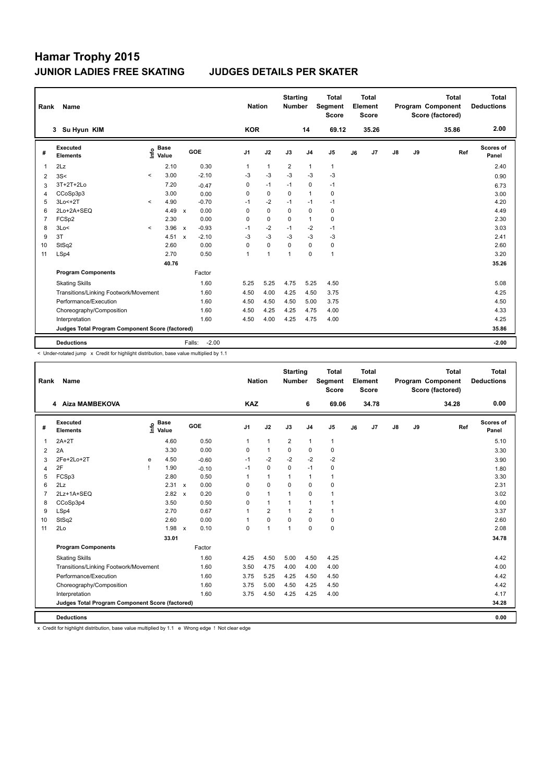| Rank           | Name                                            |         |                      |                           |                   | <b>Nation</b>  |                | <b>Starting</b><br><b>Number</b> |                | <b>Total</b><br><b>Segment</b><br><b>Score</b> |    | <b>Total</b><br>Element<br><b>Score</b> |               |    | <b>Total</b><br>Program Component<br>Score (factored) | <b>Total</b><br><b>Deductions</b> |
|----------------|-------------------------------------------------|---------|----------------------|---------------------------|-------------------|----------------|----------------|----------------------------------|----------------|------------------------------------------------|----|-----------------------------------------|---------------|----|-------------------------------------------------------|-----------------------------------|
|                | 3 Su Hyun KIM                                   |         |                      |                           |                   | <b>KOR</b>     |                |                                  | 14             | 69.12                                          |    | 35.26                                   |               |    | 35.86                                                 | 2.00                              |
| #              | Executed<br><b>Elements</b>                     | ۴       | <b>Base</b><br>Value |                           | GOE               | J <sub>1</sub> | J2             | J3                               | J <sub>4</sub> | J <sub>5</sub>                                 | J6 | J <sub>7</sub>                          | $\mathsf{J}8$ | J9 | Ref                                                   | Scores of<br>Panel                |
| 1              | 2Lz                                             |         | 2.10                 |                           | 0.30              | $\mathbf{1}$   | $\mathbf{1}$   | $\overline{2}$                   | $\mathbf{1}$   | $\mathbf{1}$                                   |    |                                         |               |    |                                                       | 2.40                              |
| $\overline{2}$ | 3S<                                             | $\,<\,$ | 3.00                 |                           | $-2.10$           | -3             | $-3$           | $-3$                             | $-3$           | $-3$                                           |    |                                         |               |    |                                                       | 0.90                              |
| 3              | 3T+2T+2Lo                                       |         | 7.20                 |                           | $-0.47$           | 0              | $-1$           | $-1$                             | $\mathbf 0$    | $-1$                                           |    |                                         |               |    |                                                       | 6.73                              |
| 4              | CCoSp3p3                                        |         | 3.00                 |                           | 0.00              | 0              | $\mathbf 0$    | $\mathbf 0$                      | $\mathbf{1}$   | $\pmb{0}$                                      |    |                                         |               |    |                                                       | 3.00                              |
| 5              | 3Lo<+2T                                         | $\prec$ | 4.90                 |                           | $-0.70$           | $-1$           | $-2$           | $-1$                             | $-1$           | $-1$                                           |    |                                         |               |    |                                                       | 4.20                              |
| 6              | 2Lo+2A+SEQ                                      |         | 4.49                 | $\mathsf{x}$              | 0.00              | $\Omega$       | $\Omega$       | $\Omega$                         | $\mathbf 0$    | $\mathbf 0$                                    |    |                                         |               |    |                                                       | 4.49                              |
| 7              | FCSp2                                           |         | 2.30                 |                           | 0.00              | 0              | $\mathbf 0$    | 0                                | $\mathbf{1}$   | $\pmb{0}$                                      |    |                                         |               |    |                                                       | 2.30                              |
| 8              | 3Lo<                                            | $\prec$ | 3.96                 | $\mathsf{x}$              | $-0.93$           | $-1$           | $-2$           | $-1$                             | $-2$           | $-1$                                           |    |                                         |               |    |                                                       | 3.03                              |
| 9              | 3T                                              |         | 4.51                 | $\boldsymbol{\mathsf{x}}$ | $-2.10$           | $-3$           | $-3$           | $-3$                             | $-3$           | $-3$                                           |    |                                         |               |    |                                                       | 2.41                              |
| 10             | StSq2                                           |         | 2.60                 |                           | 0.00              | 0              | $\mathbf 0$    | 0                                | $\mathbf 0$    | $\pmb{0}$                                      |    |                                         |               |    |                                                       | 2.60                              |
| 11             | LSp4                                            |         | 2.70                 |                           | 0.50              | $\overline{1}$ | $\overline{1}$ | $\overline{1}$                   | $\mathbf 0$    | $\mathbf{1}$                                   |    |                                         |               |    |                                                       | 3.20                              |
|                |                                                 |         | 40.76                |                           |                   |                |                |                                  |                |                                                |    |                                         |               |    |                                                       | 35.26                             |
|                | <b>Program Components</b>                       |         |                      |                           | Factor            |                |                |                                  |                |                                                |    |                                         |               |    |                                                       |                                   |
|                | <b>Skating Skills</b>                           |         |                      |                           | 1.60              | 5.25           | 5.25           | 4.75                             | 5.25           | 4.50                                           |    |                                         |               |    |                                                       | 5.08                              |
|                | Transitions/Linking Footwork/Movement           |         |                      |                           | 1.60              | 4.50           | 4.00           | 4.25                             | 4.50           | 3.75                                           |    |                                         |               |    |                                                       | 4.25                              |
|                | Performance/Execution                           |         |                      |                           | 1.60              | 4.50           | 4.50           | 4.50                             | 5.00           | 3.75                                           |    |                                         |               |    |                                                       | 4.50                              |
|                | Choreography/Composition                        |         |                      |                           | 1.60              | 4.50           | 4.25           | 4.25                             | 4.75           | 4.00                                           |    |                                         |               |    |                                                       | 4.33                              |
|                | Interpretation                                  |         |                      |                           | 1.60              | 4.50           | 4.00           | 4.25                             | 4.75           | 4.00                                           |    |                                         |               |    |                                                       | 4.25                              |
|                | Judges Total Program Component Score (factored) |         |                      |                           |                   |                |                |                                  |                |                                                |    |                                         |               |    |                                                       | 35.86                             |
|                | <b>Deductions</b>                               |         |                      |                           | $-2.00$<br>Falls: |                |                |                                  |                |                                                |    |                                         |               |    |                                                       | $-2.00$                           |

< Under-rotated jump x Credit for highlight distribution, base value multiplied by 1.1

| Rank           | Name                                            |   |                                           |              |         | <b>Nation</b>  |                | <b>Starting</b><br><b>Number</b> |                | <b>Total</b><br>Segment<br><b>Score</b> |    | <b>Total</b><br>Element<br><b>Score</b> |               |    | <b>Total</b><br>Program Component<br>Score (factored) | <b>Total</b><br><b>Deductions</b> |
|----------------|-------------------------------------------------|---|-------------------------------------------|--------------|---------|----------------|----------------|----------------------------------|----------------|-----------------------------------------|----|-----------------------------------------|---------------|----|-------------------------------------------------------|-----------------------------------|
|                | 4 Aiza MAMBEKOVA                                |   |                                           |              |         | <b>KAZ</b>     |                |                                  | 6              | 69.06                                   |    | 34.78                                   |               |    | 34.28                                                 | 0.00                              |
| #              | Executed<br><b>Elements</b>                     |   | $\frac{e}{E}$ Base<br>$\frac{E}{E}$ Value |              | GOE     | J <sub>1</sub> | J2             | J3                               | J <sub>4</sub> | J <sub>5</sub>                          | J6 | J7                                      | $\mathsf{J}8$ | J9 | Ref                                                   | <b>Scores of</b><br>Panel         |
| $\mathbf{1}$   | $2A+2T$                                         |   | 4.60                                      |              | 0.50    | 1              | $\mathbf{1}$   | $\overline{2}$                   | $\mathbf{1}$   | 1                                       |    |                                         |               |    |                                                       | 5.10                              |
| 2              | 2A                                              |   | 3.30                                      |              | 0.00    | 0              | $\mathbf{1}$   | $\mathbf 0$                      | 0              | 0                                       |    |                                         |               |    |                                                       | 3.30                              |
| 3              | 2Fe+2Lo+2T                                      | e | 4.50                                      |              | $-0.60$ | $-1$           | $-2$           | $-2$                             | $-2$           | $-2$                                    |    |                                         |               |    |                                                       | 3.90                              |
| $\overline{4}$ | 2F                                              |   | 1.90                                      |              | $-0.10$ | $-1$           | $\mathbf 0$    | 0                                | $-1$           | 0                                       |    |                                         |               |    |                                                       | 1.80                              |
| 5              | FCSp3                                           |   | 2.80                                      |              | 0.50    |                | $\mathbf{1}$   | 1                                | $\mathbf{1}$   | 1                                       |    |                                         |               |    |                                                       | 3.30                              |
| 6              | 2Lz                                             |   | $2.31 \times$                             |              | 0.00    | $\Omega$       | $\mathbf 0$    | $\Omega$                         | 0              | 0                                       |    |                                         |               |    |                                                       | 2.31                              |
| 7              | 2Lz+1A+SEQ                                      |   | $2.82 \times$                             |              | 0.20    | 0              | $\mathbf{1}$   | 1                                | 0              | 1                                       |    |                                         |               |    |                                                       | 3.02                              |
| 8              | CCoSp3p4                                        |   | 3.50                                      |              | 0.50    | $\Omega$       | $\mathbf{1}$   | 1                                | $\mathbf{1}$   | 1                                       |    |                                         |               |    |                                                       | 4.00                              |
| 9              | LSp4                                            |   | 2.70                                      |              | 0.67    | 1              | $\overline{2}$ |                                  | $\overline{2}$ | 1                                       |    |                                         |               |    |                                                       | 3.37                              |
| 10             | StSq2                                           |   | 2.60                                      |              | 0.00    |                | $\mathbf 0$    | $\Omega$                         | $\Omega$       | 0                                       |    |                                         |               |    |                                                       | 2.60                              |
| 11             | 2Lo                                             |   | 1.98                                      | $\mathsf{x}$ | 0.10    | $\mathbf 0$    | $\mathbf{1}$   | 1                                | 0              | 0                                       |    |                                         |               |    |                                                       | 2.08                              |
|                |                                                 |   | 33.01                                     |              |         |                |                |                                  |                |                                         |    |                                         |               |    |                                                       | 34.78                             |
|                | <b>Program Components</b>                       |   |                                           |              | Factor  |                |                |                                  |                |                                         |    |                                         |               |    |                                                       |                                   |
|                | <b>Skating Skills</b>                           |   |                                           |              | 1.60    | 4.25           | 4.50           | 5.00                             | 4.50           | 4.25                                    |    |                                         |               |    |                                                       | 4.42                              |
|                | Transitions/Linking Footwork/Movement           |   |                                           |              | 1.60    | 3.50           | 4.75           | 4.00                             | 4.00           | 4.00                                    |    |                                         |               |    |                                                       | 4.00                              |
|                | Performance/Execution                           |   |                                           |              | 1.60    | 3.75           | 5.25           | 4.25                             | 4.50           | 4.50                                    |    |                                         |               |    |                                                       | 4.42                              |
|                | Choreography/Composition                        |   |                                           |              | 1.60    | 3.75           | 5.00           | 4.50                             | 4.25           | 4.50                                    |    |                                         |               |    |                                                       | 4.42                              |
|                | Interpretation                                  |   |                                           |              | 1.60    | 3.75           | 4.50           | 4.25                             | 4.25           | 4.00                                    |    |                                         |               |    |                                                       | 4.17                              |
|                | Judges Total Program Component Score (factored) |   |                                           |              |         |                |                |                                  |                |                                         |    |                                         |               |    |                                                       | 34.28                             |
|                | <b>Deductions</b>                               |   |                                           |              |         |                |                |                                  |                |                                         |    |                                         |               |    |                                                       | 0.00                              |

x Credit for highlight distribution, base value multiplied by 1.1 e Wrong edge ! Not clear edge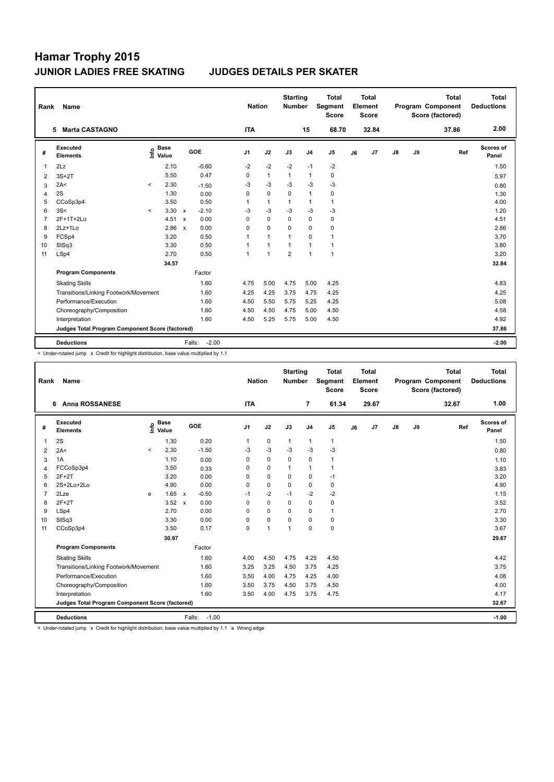| Rank | Name                                            |         |                      |                           |                   | <b>Nation</b>  |                | <b>Starting</b><br><b>Number</b> |                | <b>Total</b><br>Segment<br><b>Score</b> |    | <b>Total</b><br>Element<br><b>Score</b> |               |    | <b>Total</b><br>Program Component<br>Score (factored) | <b>Total</b><br><b>Deductions</b> |
|------|-------------------------------------------------|---------|----------------------|---------------------------|-------------------|----------------|----------------|----------------------------------|----------------|-----------------------------------------|----|-----------------------------------------|---------------|----|-------------------------------------------------------|-----------------------------------|
|      | <b>Marta CASTAGNO</b><br>5.                     |         |                      |                           |                   | <b>ITA</b>     |                |                                  | 15             | 68.70                                   |    | 32.84                                   |               |    | 37.86                                                 | 2.00                              |
| #    | Executed<br><b>Elements</b>                     | ١nf٥    | <b>Base</b><br>Value |                           | GOE               | J <sub>1</sub> | J2             | J3                               | J <sub>4</sub> | J <sub>5</sub>                          | J6 | J <sub>7</sub>                          | $\mathsf{J}8$ | J9 | Ref                                                   | Scores of<br>Panel                |
| 1    | 2Lz                                             |         | 2.10                 |                           | $-0.60$           | $-2$           | $-2$           | $-2$                             | $-1$           | $-2$                                    |    |                                         |               |    |                                                       | 1.50                              |
| 2    | $3S+2T$                                         |         | 5.50                 |                           | 0.47              | 0              | $\mathbf{1}$   | $\mathbf{1}$                     | $\mathbf{1}$   | 0                                       |    |                                         |               |    |                                                       | 5.97                              |
| 3    | 2A<                                             | $\prec$ | 2.30                 |                           | $-1.50$           | $-3$           | $-3$           | -3                               | -3             | $-3$                                    |    |                                         |               |    |                                                       | 0.80                              |
| 4    | 2S                                              |         | 1.30                 |                           | 0.00              | 0              | $\mathbf 0$    | $\mathbf 0$                      | $\mathbf{1}$   | $\pmb{0}$                               |    |                                         |               |    |                                                       | 1.30                              |
| 5    | CCoSp3p4                                        |         | 3.50                 |                           | 0.50              | 1              | $\mathbf{1}$   | 1                                | $\mathbf{1}$   | $\mathbf{1}$                            |    |                                         |               |    |                                                       | 4.00                              |
| 6    | 3S<                                             | $\,<\,$ |                      | $3.30 \times$             | $-2.10$           | $-3$           | $-3$           | $-3$                             | $-3$           | $-3$                                    |    |                                         |               |    |                                                       | 1.20                              |
| 7    | 2F+1T+2Lo                                       |         | 4.51                 | $\boldsymbol{\mathsf{x}}$ | 0.00              | 0              | $\mathbf 0$    | $\mathbf 0$                      | $\mathbf 0$    | $\pmb{0}$                               |    |                                         |               |    |                                                       | 4.51                              |
| 8    | $2Lz+1Lo$                                       |         | 2.86                 | $\mathsf{x}$              | 0.00              | 0              | $\mathbf 0$    | $\Omega$                         | 0              | $\mathbf 0$                             |    |                                         |               |    |                                                       | 2.86                              |
| 9    | FCSp4                                           |         | 3.20                 |                           | 0.50              | 1              | $\mathbf{1}$   | $\overline{1}$                   | $\mathbf 0$    | $\mathbf{1}$                            |    |                                         |               |    |                                                       | 3.70                              |
| 10   | StSq3                                           |         | 3.30                 |                           | 0.50              | 1              | $\mathbf{1}$   | $\overline{1}$                   | $\overline{1}$ | $\mathbf{1}$                            |    |                                         |               |    |                                                       | 3.80                              |
| 11   | LSp4                                            |         | 2.70                 |                           | 0.50              | 1              | $\overline{1}$ | $\overline{2}$                   | $\overline{1}$ | $\mathbf{1}$                            |    |                                         |               |    |                                                       | 3.20                              |
|      |                                                 |         | 34.57                |                           |                   |                |                |                                  |                |                                         |    |                                         |               |    |                                                       | 32.84                             |
|      | <b>Program Components</b>                       |         |                      |                           | Factor            |                |                |                                  |                |                                         |    |                                         |               |    |                                                       |                                   |
|      | <b>Skating Skills</b>                           |         |                      |                           | 1.60              | 4.75           | 5.00           | 4.75                             | 5.00           | 4.25                                    |    |                                         |               |    |                                                       | 4.83                              |
|      | Transitions/Linking Footwork/Movement           |         |                      |                           | 1.60              | 4.25           | 4.25           | 3.75                             | 4.75           | 4.25                                    |    |                                         |               |    |                                                       | 4.25                              |
|      | Performance/Execution                           |         |                      |                           | 1.60              | 4.50           | 5.50           | 5.75                             | 5.25           | 4.25                                    |    |                                         |               |    |                                                       | 5.08                              |
|      | Choreography/Composition                        |         |                      |                           | 1.60              | 4.50           | 4.50           | 4.75                             | 5.00           | 4.50                                    |    |                                         |               |    |                                                       | 4.58                              |
|      | Interpretation                                  |         |                      |                           | 1.60              | 4.50           | 5.25           | 5.75                             | 5.00           | 4.50                                    |    |                                         |               |    |                                                       | 4.92                              |
|      | Judges Total Program Component Score (factored) |         |                      |                           |                   |                |                |                                  |                |                                         |    |                                         |               |    |                                                       | 37.86                             |
|      | <b>Deductions</b>                               |         |                      |                           | $-2.00$<br>Falls: |                |                |                                  |                |                                         |    |                                         |               |    |                                                       | $-2.00$                           |

< Under-rotated jump x Credit for highlight distribution, base value multiplied by 1.1

| Rank           | <b>Name</b>                                     |         |                                  |              |                   | <b>Nation</b>  |              | <b>Starting</b><br><b>Number</b> |                | <b>Total</b><br>Segment<br><b>Score</b> |    | Total<br>Element<br><b>Score</b> |               |    | <b>Total</b><br>Program Component<br>Score (factored) | Total<br><b>Deductions</b> |
|----------------|-------------------------------------------------|---------|----------------------------------|--------------|-------------------|----------------|--------------|----------------------------------|----------------|-----------------------------------------|----|----------------------------------|---------------|----|-------------------------------------------------------|----------------------------|
|                | <b>Anna ROSSANESE</b><br>6                      |         |                                  |              |                   | <b>ITA</b>     |              |                                  | $\overline{7}$ | 61.34                                   |    | 29.67                            |               |    | 32.67                                                 | 1.00                       |
| #              | Executed<br><b>Elements</b>                     |         | <b>Base</b><br>e Base<br>⊆ Value |              | GOE               | J <sub>1</sub> | J2           | J3                               | J <sub>4</sub> | J <sub>5</sub>                          | J6 | J7                               | $\mathsf{J}8$ | J9 | Ref                                                   | <b>Scores of</b><br>Panel  |
| $\mathbf{1}$   | 2S                                              |         | 1.30                             |              | 0.20              | 1              | 0            | $\mathbf{1}$                     | 1              | $\mathbf{1}$                            |    |                                  |               |    |                                                       | 1.50                       |
| 2              | 2A<                                             | $\prec$ | 2.30                             |              | $-1.50$           | -3             | $-3$         | $-3$                             | $-3$           | $-3$                                    |    |                                  |               |    |                                                       | 0.80                       |
| 3              | 1A                                              |         | 1.10                             |              | 0.00              | 0              | $\mathbf 0$  | $\mathbf 0$                      | $\mathbf 0$    | 1                                       |    |                                  |               |    |                                                       | 1.10                       |
| $\overline{4}$ | FCCoSp3p4                                       |         | 3.50                             |              | 0.33              | 0              | $\mathbf 0$  | $\mathbf{1}$                     | $\mathbf{1}$   | 1                                       |    |                                  |               |    |                                                       | 3.83                       |
| 5              | $2F+2T$                                         |         | 3.20                             |              | 0.00              | $\Omega$       | $\Omega$     | $\Omega$                         | $\mathbf 0$    | $-1$                                    |    |                                  |               |    |                                                       | 3.20                       |
| 6              | 2S+2Lo+2Lo                                      |         | 4.90                             |              | 0.00              | $\Omega$       | $\mathbf 0$  | $\Omega$                         | $\Omega$       | $\mathbf 0$                             |    |                                  |               |    |                                                       | 4.90                       |
| $\overline{7}$ | 2Lze                                            | e       | 1.65                             | $\mathsf{x}$ | $-0.50$           | $-1$           | $-2$         | $-1$                             | $-2$           | $-2$                                    |    |                                  |               |    |                                                       | 1.15                       |
| 8              | $2F+2T$                                         |         | 3.52                             | $\mathbf{x}$ | 0.00              | $\Omega$       | $\Omega$     | $\Omega$                         | $\Omega$       | 0                                       |    |                                  |               |    |                                                       | 3.52                       |
| 9              | LSp4                                            |         | 2.70                             |              | 0.00              | $\Omega$       | $\Omega$     | $\Omega$                         | 0              | 1                                       |    |                                  |               |    |                                                       | 2.70                       |
| 10             | StSq3                                           |         | 3.30                             |              | 0.00              | 0              | $\mathbf 0$  | $\Omega$                         | 0              | $\mathbf 0$                             |    |                                  |               |    |                                                       | 3.30                       |
| 11             | CCoSp3p4                                        |         | 3.50                             |              | 0.17              | $\mathbf 0$    | $\mathbf{1}$ | $\mathbf{1}$                     | $\mathbf 0$    | $\mathbf 0$                             |    |                                  |               |    |                                                       | 3.67                       |
|                |                                                 |         | 30.97                            |              |                   |                |              |                                  |                |                                         |    |                                  |               |    |                                                       | 29.67                      |
|                | <b>Program Components</b>                       |         |                                  |              | Factor            |                |              |                                  |                |                                         |    |                                  |               |    |                                                       |                            |
|                | <b>Skating Skills</b>                           |         |                                  |              | 1.60              | 4.00           | 4.50         | 4.75                             | 4.25           | 4.50                                    |    |                                  |               |    |                                                       | 4.42                       |
|                | Transitions/Linking Footwork/Movement           |         |                                  |              | 1.60              | 3.25           | 3.25         | 4.50                             | 3.75           | 4.25                                    |    |                                  |               |    |                                                       | 3.75                       |
|                | Performance/Execution                           |         |                                  |              | 1.60              | 3.50           | 4.00         | 4.75                             | 4.25           | 4.00                                    |    |                                  |               |    |                                                       | 4.08                       |
|                | Choreography/Composition                        |         |                                  |              | 1.60              | 3.50           | 3.75         | 4.50                             | 3.75           | 4.50                                    |    |                                  |               |    |                                                       | 4.00                       |
|                | Interpretation                                  |         |                                  |              | 1.60              | 3.50           | 4.00         | 4.75                             | 3.75           | 4.75                                    |    |                                  |               |    |                                                       | 4.17                       |
|                | Judges Total Program Component Score (factored) |         |                                  |              |                   |                |              |                                  |                |                                         |    |                                  |               |    |                                                       | 32.67                      |
|                | <b>Deductions</b>                               |         |                                  |              | $-1.00$<br>Falls: |                |              |                                  |                |                                         |    |                                  |               |    |                                                       | $-1.00$                    |

< Under-rotated jump x Credit for highlight distribution, base value multiplied by 1.1 e Wrong edge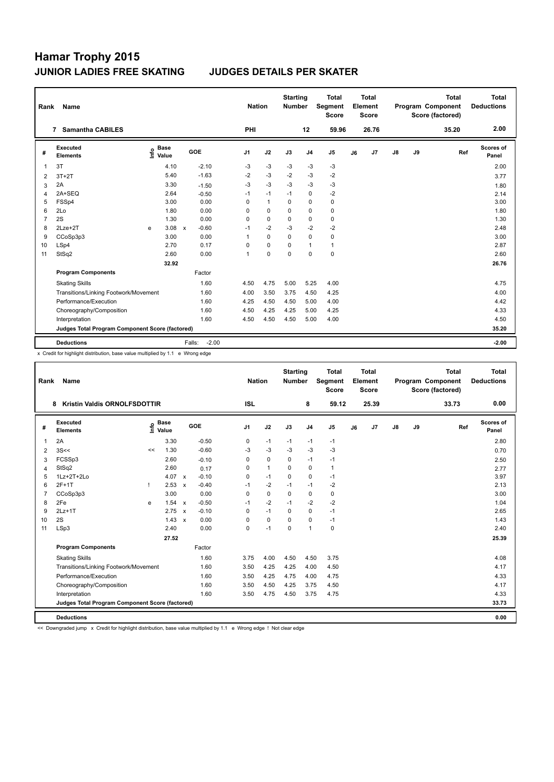| Rank | Name                                            |    |                      |              |         | <b>Nation</b>  |              | <b>Starting</b><br><b>Number</b> |                | <b>Total</b><br>Segment<br><b>Score</b> |    | <b>Total</b><br>Element<br><b>Score</b> |               |    | <b>Total</b><br>Program Component<br>Score (factored) | <b>Total</b><br><b>Deductions</b> |
|------|-------------------------------------------------|----|----------------------|--------------|---------|----------------|--------------|----------------------------------|----------------|-----------------------------------------|----|-----------------------------------------|---------------|----|-------------------------------------------------------|-----------------------------------|
|      | <b>Samantha CABILES</b><br>$\overline{7}$       |    |                      |              |         | PHI            |              |                                  | 12             | 59.96                                   |    | 26.76                                   |               |    | 35.20                                                 | 2.00                              |
| #    | <b>Executed</b><br><b>Elements</b>              | ۴ê | <b>Base</b><br>Value | GOE          |         | J <sub>1</sub> | J2           | J3                               | J <sub>4</sub> | J <sub>5</sub>                          | J6 | J7                                      | $\mathsf{J}8$ | J9 | Ref                                                   | Scores of<br>Panel                |
| 1    | 3T                                              |    | 4.10                 |              | $-2.10$ | $-3$           | $-3$         | $-3$                             | $-3$           | $-3$                                    |    |                                         |               |    |                                                       | 2.00                              |
| 2    | $3T+2T$                                         |    | 5.40                 |              | $-1.63$ | $-2$           | $-3$         | $-2$                             | $-3$           | $-2$                                    |    |                                         |               |    |                                                       | 3.77                              |
| 3    | 2A                                              |    | 3.30                 |              | $-1.50$ | $-3$           | $-3$         | $-3$                             | $-3$           | $-3$                                    |    |                                         |               |    |                                                       | 1.80                              |
| 4    | 2A+SEQ                                          |    | 2.64                 |              | $-0.50$ | $-1$           | $-1$         | $-1$                             | $\pmb{0}$      | $-2$                                    |    |                                         |               |    |                                                       | 2.14                              |
| 5    | FSSp4                                           |    | 3.00                 |              | 0.00    | $\Omega$       | $\mathbf{1}$ | 0                                | $\mathbf 0$    | 0                                       |    |                                         |               |    |                                                       | 3.00                              |
| 6    | 2Lo                                             |    | 1.80                 |              | 0.00    | $\Omega$       | $\mathbf 0$  | $\Omega$                         | $\mathbf 0$    | $\mathbf 0$                             |    |                                         |               |    |                                                       | 1.80                              |
| 7    | 2S                                              |    | 1.30                 |              | 0.00    | 0              | $\mathbf 0$  | $\mathbf 0$                      | $\mathbf 0$    | $\pmb{0}$                               |    |                                         |               |    |                                                       | 1.30                              |
| 8    | $2Lze+2T$                                       | e  | 3.08                 | $\mathsf{x}$ | $-0.60$ | $-1$           | $-2$         | $-3$                             | $-2$           | $-2$                                    |    |                                         |               |    |                                                       | 2.48                              |
| 9    | CCoSp3p3                                        |    | 3.00                 |              | 0.00    | 1              | $\mathbf 0$  | $\mathbf 0$                      | $\mathbf 0$    | $\mathbf 0$                             |    |                                         |               |    |                                                       | 3.00                              |
| 10   | LSp4                                            |    | 2.70                 |              | 0.17    | 0              | $\mathbf 0$  | $\mathbf 0$                      | $\mathbf{1}$   | $\mathbf{1}$                            |    |                                         |               |    |                                                       | 2.87                              |
| 11   | StSq2                                           |    | 2.60                 |              | 0.00    | $\overline{1}$ | $\mathbf 0$  | $\mathbf 0$                      | $\mathbf 0$    | $\mathbf 0$                             |    |                                         |               |    |                                                       | 2.60                              |
|      |                                                 |    | 32.92                |              |         |                |              |                                  |                |                                         |    |                                         |               |    |                                                       | 26.76                             |
|      | <b>Program Components</b>                       |    |                      |              | Factor  |                |              |                                  |                |                                         |    |                                         |               |    |                                                       |                                   |
|      | <b>Skating Skills</b>                           |    |                      |              | 1.60    | 4.50           | 4.75         | 5.00                             | 5.25           | 4.00                                    |    |                                         |               |    |                                                       | 4.75                              |
|      | Transitions/Linking Footwork/Movement           |    |                      |              | 1.60    | 4.00           | 3.50         | 3.75                             | 4.50           | 4.25                                    |    |                                         |               |    |                                                       | 4.00                              |
|      | Performance/Execution                           |    |                      |              | 1.60    | 4.25           | 4.50         | 4.50                             | 5.00           | 4.00                                    |    |                                         |               |    |                                                       | 4.42                              |
|      | Choreography/Composition                        |    |                      |              | 1.60    | 4.50           | 4.25         | 4.25                             | 5.00           | 4.25                                    |    |                                         |               |    |                                                       | 4.33                              |
|      | Interpretation                                  |    |                      |              | 1.60    | 4.50           | 4.50         | 4.50                             | 5.00           | 4.00                                    |    |                                         |               |    |                                                       | 4.50                              |
|      | Judges Total Program Component Score (factored) |    |                      |              |         |                |              |                                  |                |                                         |    |                                         |               |    |                                                       | 35.20                             |
|      | <b>Deductions</b>                               |    |                      | Falls:       | $-2.00$ |                |              |                                  |                |                                         |    |                                         |               |    |                                                       | $-2.00$                           |

x Credit for highlight distribution, base value multiplied by 1.1 e Wrong edge

| Rank           | <b>Name</b>                                     |      |                      |                           |         |                | <b>Nation</b> | <b>Starting</b><br><b>Number</b> |                | <b>Total</b><br>Segment<br><b>Score</b> |    | Total<br>Element<br><b>Score</b> |               |    | <b>Total</b><br>Program Component<br>Score (factored) | Total<br><b>Deductions</b> |
|----------------|-------------------------------------------------|------|----------------------|---------------------------|---------|----------------|---------------|----------------------------------|----------------|-----------------------------------------|----|----------------------------------|---------------|----|-------------------------------------------------------|----------------------------|
|                | <b>Kristin Valdis ORNOLFSDOTTIR</b><br>8        |      |                      |                           |         | <b>ISL</b>     |               |                                  | 8              | 59.12                                   |    | 25.39                            |               |    | 33.73                                                 | 0.00                       |
| #              | Executed<br><b>Elements</b>                     | Info | <b>Base</b><br>Value |                           | GOE     | J <sub>1</sub> | J2            | J3                               | J <sub>4</sub> | J <sub>5</sub>                          | J6 | J7                               | $\mathsf{J}8$ | J9 | Ref                                                   | Scores of<br>Panel         |
| $\overline{1}$ | 2A                                              |      | 3.30                 |                           | $-0.50$ | 0              | $-1$          | $-1$                             | $-1$           | $-1$                                    |    |                                  |               |    |                                                       | 2.80                       |
| 2              | 3S<<                                            | <<   | 1.30                 |                           | $-0.60$ | -3             | $-3$          | $-3$                             | $-3$           | $-3$                                    |    |                                  |               |    |                                                       | 0.70                       |
| 3              | FCSSp3                                          |      | 2.60                 |                           | $-0.10$ | 0              | $\mathbf 0$   | $\Omega$                         | $-1$           | $-1$                                    |    |                                  |               |    |                                                       | 2.50                       |
| $\overline{4}$ | StSq2                                           |      | 2.60                 |                           | 0.17    | $\Omega$       | $\mathbf{1}$  | $\Omega$                         | $\mathbf 0$    | 1                                       |    |                                  |               |    |                                                       | 2.77                       |
| 5              | 1Lz+2T+2Lo                                      |      | 4.07                 | $\mathsf{x}$              | $-0.10$ | 0              | $-1$          | $\mathbf 0$                      | $\mathbf 0$    | $-1$                                    |    |                                  |               |    |                                                       | 3.97                       |
| 6              | $2F+1T$                                         |      | 2.53                 | $\mathsf{x}$              | $-0.40$ | $-1$           | $-2$          | $-1$                             | $-1$           | $-2$                                    |    |                                  |               |    |                                                       | 2.13                       |
| $\overline{7}$ | CCoSp3p3                                        |      | 3.00                 |                           | 0.00    | 0              | $\mathbf 0$   | $\mathbf 0$                      | $\pmb{0}$      | 0                                       |    |                                  |               |    |                                                       | 3.00                       |
| 8              | 2Fe                                             | e    | 1.54 x               |                           | $-0.50$ | $-1$           | $-2$          | $-1$                             | $-2$           | $-2$                                    |    |                                  |               |    |                                                       | 1.04                       |
| 9              | $2Lz+1T$                                        |      | 2.75                 | $\mathbf{x}$              | $-0.10$ | $\Omega$       | $-1$          | $\Omega$                         | $\mathbf 0$    | $-1$                                    |    |                                  |               |    |                                                       | 2.65                       |
| 10             | 2S                                              |      | 1.43                 | $\boldsymbol{\mathsf{x}}$ | 0.00    | $\Omega$       | $\mathbf 0$   | $\Omega$                         | $\Omega$       | $-1$                                    |    |                                  |               |    |                                                       | 1.43                       |
| 11             | LSp3                                            |      | 2.40                 |                           | 0.00    | 0              | $-1$          | $\mathbf 0$                      | $\mathbf{1}$   | $\mathbf 0$                             |    |                                  |               |    |                                                       | 2.40                       |
|                |                                                 |      | 27.52                |                           |         |                |               |                                  |                |                                         |    |                                  |               |    |                                                       | 25.39                      |
|                | <b>Program Components</b>                       |      |                      |                           | Factor  |                |               |                                  |                |                                         |    |                                  |               |    |                                                       |                            |
|                | <b>Skating Skills</b>                           |      |                      |                           | 1.60    | 3.75           | 4.00          | 4.50                             | 4.50           | 3.75                                    |    |                                  |               |    |                                                       | 4.08                       |
|                | Transitions/Linking Footwork/Movement           |      |                      |                           | 1.60    | 3.50           | 4.25          | 4.25                             | 4.00           | 4.50                                    |    |                                  |               |    |                                                       | 4.17                       |
|                | Performance/Execution                           |      |                      |                           | 1.60    | 3.50           | 4.25          | 4.75                             | 4.00           | 4.75                                    |    |                                  |               |    |                                                       | 4.33                       |
|                | Choreography/Composition                        |      |                      |                           | 1.60    | 3.50           | 4.50          | 4.25                             | 3.75           | 4.50                                    |    |                                  |               |    |                                                       | 4.17                       |
|                | Interpretation                                  |      |                      |                           | 1.60    | 3.50           | 4.75          | 4.50                             | 3.75           | 4.75                                    |    |                                  |               |    |                                                       | 4.33                       |
|                | Judges Total Program Component Score (factored) |      |                      |                           |         |                |               |                                  |                |                                         |    |                                  |               |    |                                                       | 33.73                      |
|                | <b>Deductions</b>                               |      |                      |                           |         |                |               |                                  |                |                                         |    |                                  |               |    |                                                       | 0.00                       |

<< Downgraded jump x Credit for highlight distribution, base value multiplied by 1.1 e Wrong edge ! Not clear edge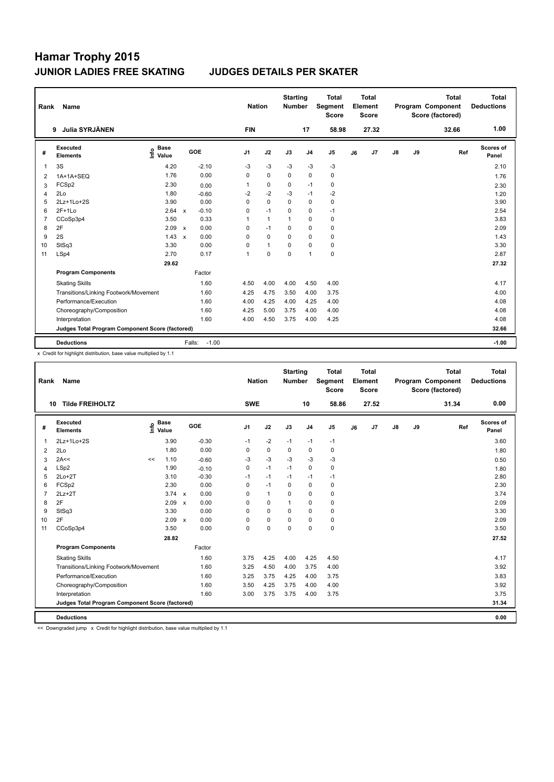| Rank | Name                                            |                              |              |                   | <b>Nation</b>  |              | <b>Starting</b><br><b>Number</b> |                | <b>Total</b><br>Segment<br><b>Score</b> |    | <b>Total</b><br>Element<br><b>Score</b> |               |    | <b>Total</b><br>Program Component<br>Score (factored) | <b>Total</b><br><b>Deductions</b> |
|------|-------------------------------------------------|------------------------------|--------------|-------------------|----------------|--------------|----------------------------------|----------------|-----------------------------------------|----|-----------------------------------------|---------------|----|-------------------------------------------------------|-----------------------------------|
|      | <b>Julia SYRJÄNEN</b><br>9                      |                              |              |                   | <b>FIN</b>     |              |                                  | 17             | 58.98                                   |    | 27.32                                   |               |    | 32.66                                                 | 1.00                              |
| #    | <b>Executed</b><br><b>Elements</b>              | <b>Base</b><br>١nf٥<br>Value |              | <b>GOE</b>        | J <sub>1</sub> | J2           | J3                               | J <sub>4</sub> | J <sub>5</sub>                          | J6 | J7                                      | $\mathsf{J}8$ | J9 | Ref                                                   | Scores of<br>Panel                |
| 1    | 3S                                              | 4.20                         |              | $-2.10$           | $-3$           | $-3$         | $-3$                             | $-3$           | $-3$                                    |    |                                         |               |    |                                                       | 2.10                              |
| 2    | 1A+1A+SEQ                                       | 1.76                         |              | 0.00              | 0              | $\Omega$     | $\Omega$                         | $\mathbf 0$    | $\pmb{0}$                               |    |                                         |               |    |                                                       | 1.76                              |
| 3    | FCSp2                                           | 2.30                         |              | 0.00              | 1              | $\mathbf 0$  | 0                                | $-1$           | $\pmb{0}$                               |    |                                         |               |    |                                                       | 2.30                              |
| 4    | 2Lo                                             | 1.80                         |              | $-0.60$           | $-2$           | $-2$         | -3                               | $-1$           | -2                                      |    |                                         |               |    |                                                       | 1.20                              |
| 5    | 2Lz+1Lo+2S                                      | 3.90                         |              | 0.00              | 0              | $\mathbf 0$  | 0                                | $\mathbf 0$    | $\pmb{0}$                               |    |                                         |               |    |                                                       | 3.90                              |
| 6    | $2F+1Lo$                                        | 2.64                         | $\mathsf{x}$ | $-0.10$           | 0              | $-1$         | 0                                | 0              | $-1$                                    |    |                                         |               |    |                                                       | 2.54                              |
| 7    | CCoSp3p4                                        | 3.50                         |              | 0.33              | 1              | $\mathbf{1}$ | 1                                | $\mathbf 0$    | $\pmb{0}$                               |    |                                         |               |    |                                                       | 3.83                              |
| 8    | 2F                                              | 2.09                         | $\mathsf{x}$ | 0.00              | 0              | $-1$         | 0                                | $\mathbf 0$    | $\mathbf 0$                             |    |                                         |               |    |                                                       | 2.09                              |
| 9    | 2S                                              | 1.43                         | $\mathsf{x}$ | 0.00              | 0              | $\mathbf 0$  | 0                                | 0              | $\mathbf 0$                             |    |                                         |               |    |                                                       | 1.43                              |
| 10   | StSq3                                           | 3.30                         |              | 0.00              | 0              | $\mathbf{1}$ | 0                                | $\mathbf 0$    | $\pmb{0}$                               |    |                                         |               |    |                                                       | 3.30                              |
| 11   | LSp4                                            | 2.70                         |              | 0.17              | 1              | 0            | 0                                | $\overline{1}$ | $\mathbf 0$                             |    |                                         |               |    |                                                       | 2.87                              |
|      |                                                 | 29.62                        |              |                   |                |              |                                  |                |                                         |    |                                         |               |    |                                                       | 27.32                             |
|      | <b>Program Components</b>                       |                              |              | Factor            |                |              |                                  |                |                                         |    |                                         |               |    |                                                       |                                   |
|      | <b>Skating Skills</b>                           |                              |              | 1.60              | 4.50           | 4.00         | 4.00                             | 4.50           | 4.00                                    |    |                                         |               |    |                                                       | 4.17                              |
|      | Transitions/Linking Footwork/Movement           |                              |              | 1.60              | 4.25           | 4.75         | 3.50                             | 4.00           | 3.75                                    |    |                                         |               |    |                                                       | 4.00                              |
|      | Performance/Execution                           |                              |              | 1.60              | 4.00           | 4.25         | 4.00                             | 4.25           | 4.00                                    |    |                                         |               |    |                                                       | 4.08                              |
|      | Choreography/Composition                        |                              |              | 1.60              | 4.25           | 5.00         | 3.75                             | 4.00           | 4.00                                    |    |                                         |               |    |                                                       | 4.08                              |
|      | Interpretation                                  |                              |              | 1.60              | 4.00           | 4.50         | 3.75                             | 4.00           | 4.25                                    |    |                                         |               |    |                                                       | 4.08                              |
|      | Judges Total Program Component Score (factored) |                              |              |                   |                |              |                                  |                |                                         |    |                                         |               |    |                                                       | 32.66                             |
|      | <b>Deductions</b>                               |                              |              | $-1.00$<br>Falls: |                |              |                                  |                |                                         |    |                                         |               |    |                                                       | $-1.00$                           |

x Credit for highlight distribution, base value multiplied by 1.1

| Rank           | Name                                            |    |                                  |              |         |                | <b>Nation</b> | <b>Starting</b><br><b>Number</b> |                | <b>Total</b><br>Segment<br><b>Score</b> |    | <b>Total</b><br>Element<br><b>Score</b> |    |    | <b>Total</b><br>Program Component<br>Score (factored) | <b>Total</b><br><b>Deductions</b> |
|----------------|-------------------------------------------------|----|----------------------------------|--------------|---------|----------------|---------------|----------------------------------|----------------|-----------------------------------------|----|-----------------------------------------|----|----|-------------------------------------------------------|-----------------------------------|
| 10             | <b>Tilde FREIHOLTZ</b>                          |    |                                  |              |         | <b>SWE</b>     |               |                                  | 10             | 58.86                                   |    | 27.52                                   |    |    | 31.34                                                 | 0.00                              |
| #              | Executed<br><b>Elements</b>                     |    | <b>Base</b><br>o Base<br>⊆ Value | GOE          |         | J <sub>1</sub> | J2            | J3                               | J <sub>4</sub> | J <sub>5</sub>                          | J6 | J7                                      | J8 | J9 | Ref                                                   | Scores of<br>Panel                |
| $\mathbf{1}$   | 2Lz+1Lo+2S                                      |    | 3.90                             |              | $-0.30$ | $-1$           | $-2$          | $-1$                             | $-1$           | $-1$                                    |    |                                         |    |    |                                                       | 3.60                              |
| 2              | 2Lo                                             |    | 1.80                             |              | 0.00    | 0              | $\mathbf 0$   | 0                                | $\mathbf 0$    | 0                                       |    |                                         |    |    |                                                       | 1.80                              |
| 3              | 2A<<                                            | << | 1.10                             |              | $-0.60$ | -3             | $-3$          | $-3$                             | $-3$           | $-3$                                    |    |                                         |    |    |                                                       | 0.50                              |
| $\overline{4}$ | LSp2                                            |    | 1.90                             |              | $-0.10$ | 0              | $-1$          | $-1$                             | $\mathbf 0$    | 0                                       |    |                                         |    |    |                                                       | 1.80                              |
| 5              | $2Lo+2T$                                        |    | 3.10                             |              | $-0.30$ | $-1$           | $-1$          | $-1$                             | $-1$           | $-1$                                    |    |                                         |    |    |                                                       | 2.80                              |
| 6              | FCSp2                                           |    | 2.30                             |              | 0.00    | 0              | $-1$          | $\Omega$                         | 0              | 0                                       |    |                                         |    |    |                                                       | 2.30                              |
| 7              | $2Lz+2T$                                        |    | $3.74 \times$                    |              | 0.00    | $\Omega$       | $\mathbf{1}$  | 0                                | $\Omega$       | 0                                       |    |                                         |    |    |                                                       | 3.74                              |
| 8              | 2F                                              |    | 2.09                             | $\mathsf{x}$ | 0.00    | 0              | 0             | 1                                | $\mathbf 0$    | 0                                       |    |                                         |    |    |                                                       | 2.09                              |
| 9              | StSq3                                           |    | 3.30                             |              | 0.00    | $\Omega$       | $\Omega$      | 0                                | $\Omega$       | 0                                       |    |                                         |    |    |                                                       | 3.30                              |
| 10             | 2F                                              |    | 2.09                             | $\mathsf{x}$ | 0.00    | $\Omega$       | 0             | 0                                | $\mathbf 0$    | 0                                       |    |                                         |    |    |                                                       | 2.09                              |
| 11             | CCoSp3p4                                        |    | 3.50                             |              | 0.00    | $\Omega$       | $\mathbf 0$   | $\Omega$                         | $\Omega$       | 0                                       |    |                                         |    |    |                                                       | 3.50                              |
|                |                                                 |    | 28.82                            |              |         |                |               |                                  |                |                                         |    |                                         |    |    |                                                       | 27.52                             |
|                | <b>Program Components</b>                       |    |                                  |              | Factor  |                |               |                                  |                |                                         |    |                                         |    |    |                                                       |                                   |
|                | <b>Skating Skills</b>                           |    |                                  |              | 1.60    | 3.75           | 4.25          | 4.00                             | 4.25           | 4.50                                    |    |                                         |    |    |                                                       | 4.17                              |
|                | Transitions/Linking Footwork/Movement           |    |                                  |              | 1.60    | 3.25           | 4.50          | 4.00                             | 3.75           | 4.00                                    |    |                                         |    |    |                                                       | 3.92                              |
|                | Performance/Execution                           |    |                                  |              | 1.60    | 3.25           | 3.75          | 4.25                             | 4.00           | 3.75                                    |    |                                         |    |    |                                                       | 3.83                              |
|                | Choreography/Composition                        |    |                                  |              | 1.60    | 3.50           | 4.25          | 3.75                             | 4.00           | 4.00                                    |    |                                         |    |    |                                                       | 3.92                              |
|                | Interpretation                                  |    |                                  |              | 1.60    | 3.00           | 3.75          | 3.75                             | 4.00           | 3.75                                    |    |                                         |    |    |                                                       | 3.75                              |
|                | Judges Total Program Component Score (factored) |    |                                  |              |         |                |               |                                  |                |                                         |    |                                         |    |    |                                                       | 31.34                             |
|                | <b>Deductions</b>                               |    |                                  |              |         |                |               |                                  |                |                                         |    |                                         |    |    |                                                       | 0.00                              |

<< Downgraded jump x Credit for highlight distribution, base value multiplied by 1.1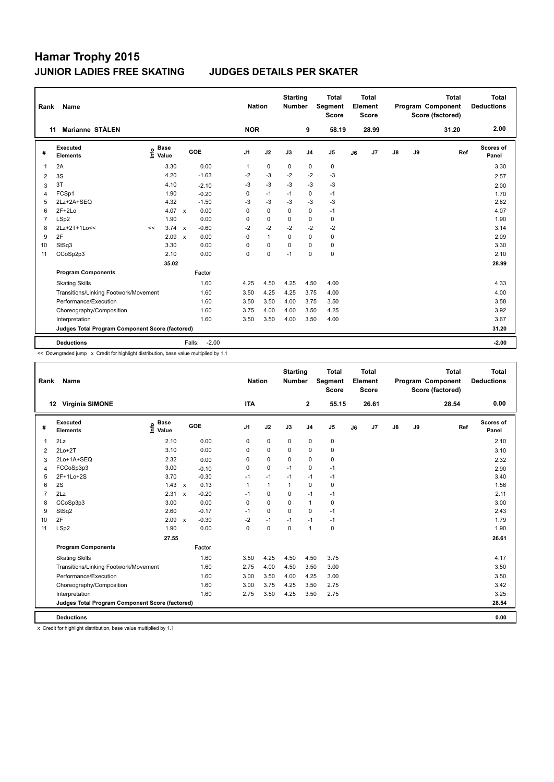| Rank           | Name                                            |      |                      |                           |                   | <b>Nation</b>  |              | <b>Starting</b><br><b>Number</b> |                | <b>Total</b><br><b>Segment</b><br><b>Score</b> |    | <b>Total</b><br>Element<br>Score |               |    | <b>Total</b><br>Program Component<br>Score (factored) | <b>Total</b><br><b>Deductions</b> |
|----------------|-------------------------------------------------|------|----------------------|---------------------------|-------------------|----------------|--------------|----------------------------------|----------------|------------------------------------------------|----|----------------------------------|---------------|----|-------------------------------------------------------|-----------------------------------|
| 11             | <b>Marianne STÅLEN</b>                          |      |                      |                           |                   | <b>NOR</b>     |              |                                  | 9              | 58.19                                          |    | 28.99                            |               |    | 31.20                                                 | 2.00                              |
| #              | Executed<br><b>Elements</b>                     | ١nf٥ | <b>Base</b><br>Value |                           | GOE               | J <sub>1</sub> | J2           | J3                               | J <sub>4</sub> | J <sub>5</sub>                                 | J6 | J <sub>7</sub>                   | $\mathsf{J}8$ | J9 | Ref                                                   | Scores of<br>Panel                |
| 1              | 2A                                              |      | 3.30                 |                           | 0.00              | 1              | $\mathbf 0$  | 0                                | $\pmb{0}$      | 0                                              |    |                                  |               |    |                                                       | 3.30                              |
| 2              | 3S                                              |      | 4.20                 |                           | $-1.63$           | $-2$           | $-3$         | $-2$                             | $-2$           | $-3$                                           |    |                                  |               |    |                                                       | 2.57                              |
| 3              | 3T                                              |      | 4.10                 |                           | $-2.10$           | -3             | $-3$         | $-3$                             | $-3$           | $-3$                                           |    |                                  |               |    |                                                       | 2.00                              |
| 4              | FCSp1                                           |      | 1.90                 |                           | $-0.20$           | 0              | $-1$         | $-1$                             | $\pmb{0}$      | $-1$                                           |    |                                  |               |    |                                                       | 1.70                              |
| 5              | 2Lz+2A+SEQ                                      |      | 4.32                 |                           | $-1.50$           | $-3$           | $-3$         | $-3$                             | $-3$           | $-3$                                           |    |                                  |               |    |                                                       | 2.82                              |
| 6              | $2F+2Lo$                                        |      | 4.07 $\times$        |                           | 0.00              | 0              | $\Omega$     | $\Omega$                         | $\mathbf 0$    | $-1$                                           |    |                                  |               |    |                                                       | 4.07                              |
| $\overline{7}$ | LSp2                                            |      | 1.90                 |                           | 0.00              | 0              | $\mathbf 0$  | 0                                | $\mathbf 0$    | 0                                              |    |                                  |               |    |                                                       | 1.90                              |
| 8              | 2Lz+2T+1Lo<<                                    | <<   | 3.74                 | $\mathsf{x}$              | $-0.60$           | $-2$           | $-2$         | $-2$                             | $-2$           | $-2$                                           |    |                                  |               |    |                                                       | 3.14                              |
| 9              | 2F                                              |      | 2.09                 | $\boldsymbol{\mathsf{x}}$ | 0.00              | 0              | $\mathbf{1}$ | $\mathbf 0$                      | $\mathbf 0$    | 0                                              |    |                                  |               |    |                                                       | 2.09                              |
| 10             | StSq3                                           |      | 3.30                 |                           | 0.00              | 0              | $\mathbf 0$  | $\Omega$                         | $\mathbf 0$    | $\mathbf 0$                                    |    |                                  |               |    |                                                       | 3.30                              |
| 11             | CCoSp2p3                                        |      | 2.10                 |                           | 0.00              | 0              | $\mathbf 0$  | $-1$                             | $\mathbf 0$    | $\mathbf 0$                                    |    |                                  |               |    |                                                       | 2.10                              |
|                |                                                 |      | 35.02                |                           |                   |                |              |                                  |                |                                                |    |                                  |               |    |                                                       | 28.99                             |
|                | <b>Program Components</b>                       |      |                      |                           | Factor            |                |              |                                  |                |                                                |    |                                  |               |    |                                                       |                                   |
|                | <b>Skating Skills</b>                           |      |                      |                           | 1.60              | 4.25           | 4.50         | 4.25                             | 4.50           | 4.00                                           |    |                                  |               |    |                                                       | 4.33                              |
|                | Transitions/Linking Footwork/Movement           |      |                      |                           | 1.60              | 3.50           | 4.25         | 4.25                             | 3.75           | 4.00                                           |    |                                  |               |    |                                                       | 4.00                              |
|                | Performance/Execution                           |      |                      |                           | 1.60              | 3.50           | 3.50         | 4.00                             | 3.75           | 3.50                                           |    |                                  |               |    |                                                       | 3.58                              |
|                | Choreography/Composition                        |      |                      |                           | 1.60              | 3.75           | 4.00         | 4.00                             | 3.50           | 4.25                                           |    |                                  |               |    |                                                       | 3.92                              |
|                | Interpretation                                  |      |                      |                           | 1.60              | 3.50           | 3.50         | 4.00                             | 3.50           | 4.00                                           |    |                                  |               |    |                                                       | 3.67                              |
|                | Judges Total Program Component Score (factored) |      |                      |                           |                   |                |              |                                  |                |                                                |    |                                  |               |    |                                                       | 31.20                             |
|                | <b>Deductions</b>                               |      |                      |                           | $-2.00$<br>Falls: |                |              |                                  |                |                                                |    |                                  |               |    |                                                       | $-2.00$                           |

<< Downgraded jump x Credit for highlight distribution, base value multiplied by 1.1

| Rank           | Name                                            |                              |              |            |                | <b>Nation</b> | <b>Starting</b><br><b>Number</b> |                | <b>Total</b><br>Segment<br><b>Score</b> |    | <b>Total</b><br>Element<br><b>Score</b> |               |    | <b>Total</b><br>Program Component<br>Score (factored) | <b>Total</b><br><b>Deductions</b> |
|----------------|-------------------------------------------------|------------------------------|--------------|------------|----------------|---------------|----------------------------------|----------------|-----------------------------------------|----|-----------------------------------------|---------------|----|-------------------------------------------------------|-----------------------------------|
|                | 12 Virginia SIMONE                              |                              |              |            | <b>ITA</b>     |               |                                  | $\mathbf{2}$   | 55.15                                   |    | 26.61                                   |               |    | 28.54                                                 | 0.00                              |
| #              | <b>Executed</b><br><b>Elements</b>              | <b>Base</b><br>١nfo<br>Value |              | <b>GOE</b> | J <sub>1</sub> | J2            | J3                               | J <sub>4</sub> | J <sub>5</sub>                          | J6 | J7                                      | $\mathsf{J}8$ | J9 | Ref                                                   | Scores of<br>Panel                |
| 1              | 2Lz                                             | 2.10                         |              | 0.00       | 0              | 0             | 0                                | 0              | 0                                       |    |                                         |               |    |                                                       | 2.10                              |
| 2              | $2Lo+2T$                                        | 3.10                         |              | 0.00       | 0              | 0             | 0                                | $\mathbf 0$    | 0                                       |    |                                         |               |    |                                                       | 3.10                              |
| 3              | 2Lo+1A+SEQ                                      | 2.32                         |              | 0.00       | 0              | 0             | $\Omega$                         | 0              | 0                                       |    |                                         |               |    |                                                       | 2.32                              |
| $\overline{4}$ | FCCoSp3p3                                       | 3.00                         |              | $-0.10$    | $\Omega$       | 0             | $-1$                             | $\mathbf 0$    | $-1$                                    |    |                                         |               |    |                                                       | 2.90                              |
| 5              | 2F+1Lo+2S                                       | 3.70                         |              | $-0.30$    | $-1$           | $-1$          | $-1$                             | $-1$           | $-1$                                    |    |                                         |               |    |                                                       | 3.40                              |
| 6              | 2S                                              | $1.43 \times$                |              | 0.13       | 1              | $\mathbf{1}$  | 1                                | $\mathbf 0$    | 0                                       |    |                                         |               |    |                                                       | 1.56                              |
| 7              | 2Lz                                             | 2.31                         | $\mathsf{x}$ | $-0.20$    | $-1$           | 0             | 0                                | $-1$           | $-1$                                    |    |                                         |               |    |                                                       | 2.11                              |
| 8              | CCoSp3p3                                        | 3.00                         |              | 0.00       | 0              | $\Omega$      | 0                                | 1              | 0                                       |    |                                         |               |    |                                                       | 3.00                              |
| 9              | StSq2                                           | 2.60                         |              | $-0.17$    | $-1$           | 0             | $\Omega$                         | $\mathbf 0$    | $-1$                                    |    |                                         |               |    |                                                       | 2.43                              |
| 10             | 2F                                              | 2.09 x                       |              | $-0.30$    | $-2$           | $-1$          | $-1$                             | $-1$           | $-1$                                    |    |                                         |               |    |                                                       | 1.79                              |
| 11             | LSp2                                            | 1.90                         |              | 0.00       | 0              | 0             | 0                                | 1              | 0                                       |    |                                         |               |    |                                                       | 1.90                              |
|                |                                                 | 27.55                        |              |            |                |               |                                  |                |                                         |    |                                         |               |    |                                                       | 26.61                             |
|                | <b>Program Components</b>                       |                              |              | Factor     |                |               |                                  |                |                                         |    |                                         |               |    |                                                       |                                   |
|                | <b>Skating Skills</b>                           |                              |              | 1.60       | 3.50           | 4.25          | 4.50                             | 4.50           | 3.75                                    |    |                                         |               |    |                                                       | 4.17                              |
|                | Transitions/Linking Footwork/Movement           |                              |              | 1.60       | 2.75           | 4.00          | 4.50                             | 3.50           | 3.00                                    |    |                                         |               |    |                                                       | 3.50                              |
|                | Performance/Execution                           |                              |              | 1.60       | 3.00           | 3.50          | 4.00                             | 4.25           | 3.00                                    |    |                                         |               |    |                                                       | 3.50                              |
|                | Choreography/Composition                        |                              |              | 1.60       | 3.00           | 3.75          | 4.25                             | 3.50           | 2.75                                    |    |                                         |               |    |                                                       | 3.42                              |
|                | Interpretation                                  |                              |              | 1.60       | 2.75           | 3.50          | 4.25                             | 3.50           | 2.75                                    |    |                                         |               |    |                                                       | 3.25                              |
|                | Judges Total Program Component Score (factored) |                              |              |            |                |               |                                  |                |                                         |    |                                         |               |    |                                                       | 28.54                             |
|                | <b>Deductions</b>                               |                              |              |            |                |               |                                  |                |                                         |    |                                         |               |    |                                                       | 0.00                              |

x Credit for highlight distribution, base value multiplied by 1.1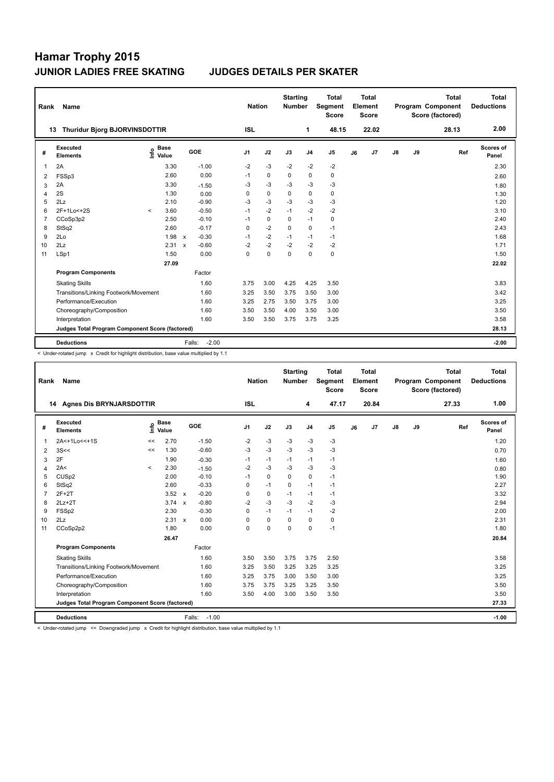| Rank                                            | Name                                  |            | <b>Nation</b>        | <b>Starting</b><br>Number |                   | <b>Total</b><br>Segment<br><b>Score</b> |             | <b>Total</b><br>Element<br><b>Score</b> |                |                | <b>Total</b><br><b>Program Component</b><br>Score (factored) | <b>Total</b><br><b>Deductions</b> |               |    |     |                    |
|-------------------------------------------------|---------------------------------------|------------|----------------------|---------------------------|-------------------|-----------------------------------------|-------------|-----------------------------------------|----------------|----------------|--------------------------------------------------------------|-----------------------------------|---------------|----|-----|--------------------|
| 13                                              | <b>Thuridur Bjorg BJORVINSDOTTIR</b>  | <b>ISL</b> |                      |                           | $\mathbf{1}$      | 48.15                                   |             | 22.02                                   |                |                | 28.13                                                        | 2.00                              |               |    |     |                    |
| #                                               | Executed<br><b>Elements</b>           | ١nf٥       | <b>Base</b><br>Value |                           | GOE               | J <sub>1</sub>                          | J2          | J3                                      | J <sub>4</sub> | J <sub>5</sub> | J6                                                           | J7                                | $\mathsf{J}8$ | J9 | Ref | Scores of<br>Panel |
| 1                                               | 2A                                    |            | 3.30                 |                           | $-1.00$           | $-2$                                    | $-3$        | $-2$                                    | $-2$           | $-2$           |                                                              |                                   |               |    |     | 2.30               |
| 2                                               | FSSp3                                 |            | 2.60                 |                           | 0.00              | $-1$                                    | $\mathbf 0$ | 0                                       | $\mathbf 0$    | $\mathbf 0$    |                                                              |                                   |               |    |     | 2.60               |
| 3                                               | 2A                                    |            | 3.30                 |                           | $-1.50$           | -3                                      | $-3$        | $-3$                                    | $-3$           | $-3$           |                                                              |                                   |               |    |     | 1.80               |
| 4                                               | 2S                                    |            | 1.30                 |                           | 0.00              | 0                                       | $\mathbf 0$ | 0                                       | 0              | 0              |                                                              |                                   |               |    |     | 1.30               |
| 5                                               | 2Lz                                   |            | 2.10                 |                           | $-0.90$           | $-3$                                    | $-3$        | $-3$                                    | $-3$           | $-3$           |                                                              |                                   |               |    |     | 1.20               |
| 6                                               | 2F+1Lo<+2S                            | $\prec$    | 3.60                 |                           | $-0.50$           | $-1$                                    | $-2$        | $-1$                                    | $-2$           | $-2$           |                                                              |                                   |               |    |     | 3.10               |
| $\overline{7}$                                  | CCoSp3p2                              |            | 2.50                 |                           | $-0.10$           | $-1$                                    | $\mathbf 0$ | $\mathbf 0$                             | $-1$           | $\pmb{0}$      |                                                              |                                   |               |    |     | 2.40               |
| 8                                               | StSq2                                 |            | 2.60                 |                           | $-0.17$           | $\mathbf 0$                             | $-2$        | $\mathbf 0$                             | 0              | $-1$           |                                                              |                                   |               |    |     | 2.43               |
| 9                                               | 2Lo                                   |            | 1.98                 | $\mathsf{x}$              | $-0.30$           | $-1$                                    | $-2$        | $-1$                                    | $-1$           | $-1$           |                                                              |                                   |               |    |     | 1.68               |
| 10                                              | 2Lz                                   |            | 2.31                 | $\mathsf{x}$              | $-0.60$           | $-2$                                    | $-2$        | $-2$                                    | $-2$           | $-2$           |                                                              |                                   |               |    |     | 1.71               |
| 11                                              | LSp1                                  |            | 1.50                 |                           | 0.00              | 0                                       | $\mathbf 0$ | $\mathbf 0$                             | $\mathbf 0$    | $\mathbf 0$    |                                                              |                                   |               |    |     | 1.50               |
|                                                 |                                       |            | 27.09                |                           |                   |                                         |             |                                         |                |                |                                                              |                                   |               |    |     | 22.02              |
|                                                 | <b>Program Components</b>             |            |                      |                           | Factor            |                                         |             |                                         |                |                |                                                              |                                   |               |    |     |                    |
|                                                 | <b>Skating Skills</b>                 |            |                      |                           | 1.60              | 3.75                                    | 3.00        | 4.25                                    | 4.25           | 3.50           |                                                              |                                   |               |    |     | 3.83               |
|                                                 | Transitions/Linking Footwork/Movement |            |                      |                           | 1.60              | 3.25                                    | 3.50        | 3.75                                    | 3.50           | 3.00           |                                                              |                                   |               |    |     | 3.42               |
|                                                 | Performance/Execution                 |            |                      |                           | 1.60              | 3.25                                    | 2.75        | 3.50                                    | 3.75           | 3.00           |                                                              |                                   |               |    |     | 3.25               |
|                                                 | Choreography/Composition              |            |                      |                           | 1.60              | 3.50                                    | 3.50        | 4.00                                    | 3.50           | 3.00           |                                                              |                                   |               |    |     | 3.50               |
|                                                 | Interpretation                        |            |                      |                           | 1.60              | 3.50                                    | 3.50        | 3.75                                    | 3.75           | 3.25           |                                                              |                                   |               |    |     | 3.58               |
| Judges Total Program Component Score (factored) |                                       |            |                      |                           |                   |                                         |             |                                         |                |                |                                                              |                                   | 28.13         |    |     |                    |
|                                                 | <b>Deductions</b>                     |            |                      |                           | $-2.00$<br>Falls: |                                         |             |                                         |                |                |                                                              |                                   |               |    |     | $-2.00$            |

< Under-rotated jump x Credit for highlight distribution, base value multiplied by 1.1

| <b>Name</b><br>Rank |                                                 |         |                      |      |                   |                | <b>Nation</b> | <b>Starting</b><br><b>Number</b> |                | <b>Total</b><br>Segment<br><b>Score</b> |    | <b>Total</b><br>Element<br><b>Score</b> |      |    | <b>Total</b><br>Program Component<br>Score (factored) | <b>Total</b><br><b>Deductions</b> |
|---------------------|-------------------------------------------------|---------|----------------------|------|-------------------|----------------|---------------|----------------------------------|----------------|-----------------------------------------|----|-----------------------------------------|------|----|-------------------------------------------------------|-----------------------------------|
|                     | 14 Agnes Dis BRYNJARSDOTTIR                     |         | <b>ISL</b>           |      |                   | 4              | 47.17         | 20.84                            |                |                                         |    | 27.33                                   | 1.00 |    |                                                       |                                   |
| #                   | <b>Executed</b><br><b>Elements</b>              | ١nfo    | <b>Base</b><br>Value |      | <b>GOE</b>        | J <sub>1</sub> | J2            | J3                               | J <sub>4</sub> | J5                                      | J6 | J <sub>7</sub>                          | J8   | J9 | Ref                                                   | Scores of<br>Panel                |
| $\mathbf 1$         | 2A<+1Lo<<+1S                                    | <<      | 2.70                 |      | $-1.50$           | $-2$           | $-3$          | -3                               | $-3$           | $-3$                                    |    |                                         |      |    |                                                       | 1.20                              |
| 2                   | 3S <                                            | <<      | 1.30                 |      | $-0.60$           | $-3$           | -3            | $-3$                             | $-3$           | $-3$                                    |    |                                         |      |    |                                                       | 0.70                              |
| 3                   | 2F                                              |         | 1.90                 |      | $-0.30$           | $-1$           | $-1$          | $-1$                             | $-1$           | $-1$                                    |    |                                         |      |    |                                                       | 1.60                              |
| 4                   | 2A<                                             | $\prec$ | 2.30                 |      | $-1.50$           | $-2$           | $-3$          | $-3$                             | $-3$           | $-3$                                    |    |                                         |      |    |                                                       | 0.80                              |
| 5                   | CUS <sub>p2</sub>                               |         | 2.00                 |      | $-0.10$           | $-1$           | 0             | $\Omega$                         | $\mathbf 0$    | $-1$                                    |    |                                         |      |    |                                                       | 1.90                              |
| 6                   | StSq2                                           |         | 2.60                 |      | $-0.33$           | 0              | $-1$          | 0                                | $-1$           | $-1$                                    |    |                                         |      |    |                                                       | 2.27                              |
| $\overline{7}$      | $2F+2T$                                         |         | $3.52 \times$        |      | $-0.20$           | 0              | $\mathbf 0$   | $-1$                             | $-1$           | $-1$                                    |    |                                         |      |    |                                                       | 3.32                              |
| 8                   | $2Lz+2T$                                        |         | $3.74 \times$        |      | $-0.80$           | $-2$           | $-3$          | $-3$                             | $-2$           | $-3$                                    |    |                                         |      |    |                                                       | 2.94                              |
| 9                   | FSSp2                                           |         | 2.30                 |      | $-0.30$           | $\Omega$       | $-1$          | $-1$                             | $-1$           | $-2$                                    |    |                                         |      |    |                                                       | 2.00                              |
| 10                  | 2Lz                                             |         | 2.31 x               |      | 0.00              | 0              | 0             | $\Omega$                         | $\Omega$       | 0                                       |    |                                         |      |    |                                                       | 2.31                              |
| 11                  | CCoSp2p2                                        |         | 1.80                 |      | 0.00              | $\Omega$       | 0             | 0                                | $\mathbf 0$    | $-1$                                    |    |                                         |      |    |                                                       | 1.80                              |
|                     |                                                 |         | 26.47                |      |                   |                |               |                                  |                |                                         |    |                                         |      |    |                                                       | 20.84                             |
|                     | <b>Program Components</b>                       |         |                      |      | Factor            |                |               |                                  |                |                                         |    |                                         |      |    |                                                       |                                   |
|                     | <b>Skating Skills</b>                           | 1.60    | 3.50                 | 3.50 | 3.75              | 3.75           | 2.50          |                                  |                |                                         |    |                                         | 3.58 |    |                                                       |                                   |
|                     | Transitions/Linking Footwork/Movement           |         |                      |      | 1.60              | 3.25           | 3.50          | 3.25                             | 3.25           | 3.25                                    |    |                                         |      |    |                                                       | 3.25                              |
|                     | Performance/Execution                           |         |                      |      | 1.60              | 3.25           | 3.75          | 3.00                             | 3.50           | 3.00                                    |    |                                         |      |    |                                                       | 3.25                              |
|                     | Choreography/Composition                        |         |                      |      | 1.60              | 3.75           | 3.75          | 3.25                             | 3.25           | 3.50                                    |    |                                         |      |    |                                                       | 3.50                              |
|                     | Interpretation                                  |         |                      |      | 1.60              | 3.50           | 4.00          | 3.00                             | 3.50           | 3.50                                    |    |                                         |      |    |                                                       | 3.50                              |
|                     | Judges Total Program Component Score (factored) |         |                      |      |                   |                |               |                                  |                |                                         |    |                                         |      |    |                                                       | 27.33                             |
|                     | <b>Deductions</b>                               |         |                      |      | $-1.00$<br>Falls: |                |               |                                  |                |                                         |    |                                         |      |    |                                                       | $-1.00$                           |

< Under-rotated jump << Downgraded jump x Credit for highlight distribution, base value multiplied by 1.1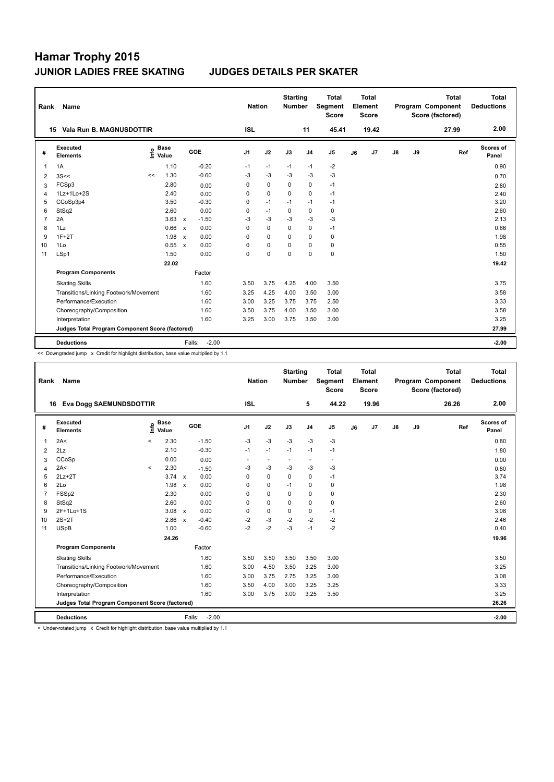| Rank                                            | Name                                  |      | <b>Nation</b>        | <b>Starting</b> | Number            | <b>Total</b><br>Segment<br><b>Score</b> |             | <b>Total</b><br>Element<br><b>Score</b> |                |                | <b>Total</b><br><b>Program Component</b><br>Score (factored) | Total<br><b>Deductions</b> |               |    |       |                    |
|-------------------------------------------------|---------------------------------------|------|----------------------|-----------------|-------------------|-----------------------------------------|-------------|-----------------------------------------|----------------|----------------|--------------------------------------------------------------|----------------------------|---------------|----|-------|--------------------|
|                                                 | Vala Run B. MAGNUSDOTTIR<br>15        |      |                      |                 |                   | <b>ISL</b>                              |             |                                         | 11             | 45.41          |                                                              | 19.42                      |               |    | 27.99 | 2.00               |
| #                                               | Executed<br><b>Elements</b>           | ١nf٥ | <b>Base</b><br>Value |                 | GOE               | J <sub>1</sub>                          | J2          | J3                                      | J <sub>4</sub> | J <sub>5</sub> | J6                                                           | J <sub>7</sub>             | $\mathsf{J}8$ | J9 | Ref   | Scores of<br>Panel |
| 1                                               | 1A                                    |      | 1.10                 |                 | $-0.20$           | $-1$                                    | $-1$        | $-1$                                    | $-1$           | $-2$           |                                                              |                            |               |    |       | 0.90               |
| 2                                               | 3S<<                                  | <<   | 1.30                 |                 | $-0.60$           | -3                                      | $-3$        | -3                                      | -3             | $-3$           |                                                              |                            |               |    |       | 0.70               |
| 3                                               | FCSp3                                 |      | 2.80                 |                 | 0.00              | 0                                       | $\mathbf 0$ | 0                                       | $\mathbf 0$    | $-1$           |                                                              |                            |               |    |       | 2.80               |
| 4                                               | 1Lz+1Lo+2S                            |      | 2.40                 |                 | 0.00              | 0                                       | $\mathbf 0$ | $\Omega$                                | $\mathbf 0$    | $-1$           |                                                              |                            |               |    |       | 2.40               |
| 5                                               | CCoSp3p4                              |      | 3.50                 |                 | $-0.30$           | 0                                       | $-1$        | $-1$                                    | $-1$           | $-1$           |                                                              |                            |               |    |       | 3.20               |
| 6                                               | StSq2                                 |      | 2.60                 |                 | 0.00              | 0                                       | $-1$        | $\Omega$                                | 0              | $\mathbf 0$    |                                                              |                            |               |    |       | 2.60               |
| $\overline{7}$                                  | 2A                                    |      | 3.63                 | $\mathsf{x}$    | $-1.50$           | $-3$                                    | $-3$        | $-3$                                    | $-3$           | $-3$           |                                                              |                            |               |    |       | 2.13               |
| 8                                               | 1Lz                                   |      | 0.66                 | $\mathsf{x}$    | 0.00              | 0                                       | $\mathbf 0$ | $\mathbf 0$                             | 0              | $-1$           |                                                              |                            |               |    |       | 0.66               |
| 9                                               | $1F+2T$                               |      | 1.98                 | $\mathsf{x}$    | 0.00              | $\Omega$                                | $\mathbf 0$ | $\Omega$                                | 0              | $\mathbf 0$    |                                                              |                            |               |    |       | 1.98               |
| 10                                              | 1Lo                                   |      | 0.55                 | $\mathsf{x}$    | 0.00              | 0                                       | $\mathbf 0$ | $\Omega$                                | 0              | $\pmb{0}$      |                                                              |                            |               |    |       | 0.55               |
| 11                                              | LSp1                                  |      | 1.50                 |                 | 0.00              | 0                                       | $\pmb{0}$   | $\mathbf 0$                             | $\mathbf 0$    | $\pmb{0}$      |                                                              |                            |               |    |       | 1.50               |
|                                                 |                                       |      | 22.02                |                 |                   |                                         |             |                                         |                |                |                                                              |                            |               |    |       | 19.42              |
|                                                 | <b>Program Components</b>             |      |                      |                 | Factor            |                                         |             |                                         |                |                |                                                              |                            |               |    |       |                    |
|                                                 | <b>Skating Skills</b>                 |      |                      |                 | 1.60              | 3.50                                    | 3.75        | 4.25                                    | 4.00           | 3.50           |                                                              |                            |               |    |       | 3.75               |
|                                                 | Transitions/Linking Footwork/Movement |      |                      |                 | 1.60              | 3.25                                    | 4.25        | 4.00                                    | 3.50           | 3.00           |                                                              |                            |               |    |       | 3.58               |
|                                                 | Performance/Execution                 |      |                      |                 | 1.60              | 3.00                                    | 3.25        | 3.75                                    | 3.75           | 2.50           |                                                              |                            |               |    |       | 3.33               |
|                                                 | Choreography/Composition              |      |                      |                 | 1.60              | 3.50                                    | 3.75        | 4.00                                    | 3.50           | 3.00           |                                                              |                            |               |    |       | 3.58               |
|                                                 | Interpretation                        |      |                      |                 | 1.60              | 3.25                                    | 3.00        | 3.75                                    | 3.50           | 3.00           |                                                              |                            |               |    |       | 3.25               |
| Judges Total Program Component Score (factored) |                                       |      |                      |                 |                   |                                         |             |                                         |                |                |                                                              | 27.99                      |               |    |       |                    |
|                                                 | <b>Deductions</b>                     |      |                      |                 | $-2.00$<br>Falls: |                                         |             |                                         |                |                |                                                              |                            |               |    |       | $-2.00$            |

<< Downgraded jump x Credit for highlight distribution, base value multiplied by 1.1

| Rank         | Name                                            |         |                      |              |                   | <b>Nation</b>  |                          | <b>Starting</b><br><b>Number</b> |                          | <b>Total</b><br>Segment<br><b>Score</b> |    | <b>Total</b><br>Element<br><b>Score</b> |               |      | <b>Total</b><br><b>Program Component</b><br>Score (factored) |     | <b>Total</b><br><b>Deductions</b> |
|--------------|-------------------------------------------------|---------|----------------------|--------------|-------------------|----------------|--------------------------|----------------------------------|--------------------------|-----------------------------------------|----|-----------------------------------------|---------------|------|--------------------------------------------------------------|-----|-----------------------------------|
|              | Eva Dogg SAEMUNDSDOTTIR<br>16                   |         |                      |              |                   | <b>ISL</b>     |                          |                                  | 5                        | 44.22                                   |    | 19.96                                   |               |      | 26.26                                                        |     | 2.00                              |
| #            | Executed<br><b>Elements</b>                     | Info    | <b>Base</b><br>Value |              | GOE               | J <sub>1</sub> | J2                       | J3                               | J <sub>4</sub>           | J5                                      | J6 | J <sub>7</sub>                          | $\mathsf{J}8$ | J9   |                                                              | Ref | Scores of<br>Panel                |
| $\mathbf{1}$ | 2A<                                             | $\prec$ | 2.30                 |              | $-1.50$           | $-3$           | $-3$                     | $-3$                             | $-3$                     | $-3$                                    |    |                                         |               |      |                                                              |     | 0.80                              |
| 2            | 2Lz                                             |         | 2.10                 |              | $-0.30$           | $-1$           | $-1$                     | $-1$                             | $-1$                     | $-1$                                    |    |                                         |               |      |                                                              |     | 1.80                              |
| 3            | CCoSp                                           |         | 0.00                 |              | 0.00              | ٠              | $\overline{\phantom{a}}$ |                                  | $\overline{\phantom{a}}$ |                                         |    |                                         |               |      |                                                              |     | 0.00                              |
| 4            | 2A<                                             | $\prec$ | 2.30                 |              | $-1.50$           | -3             | -3                       | $-3$                             | $-3$                     | $-3$                                    |    |                                         |               |      |                                                              |     | 0.80                              |
| 5            | $2Lz + 2T$                                      |         | $3.74 \times$        |              | 0.00              | 0              | $\mathbf 0$              | $\mathbf 0$                      | $\mathbf 0$              | $-1$                                    |    |                                         |               |      |                                                              |     | 3.74                              |
| 6            | 2Lo                                             |         | 1.98                 | $\mathsf{x}$ | 0.00              | 0              | $\mathbf 0$              | $-1$                             | $\mathbf 0$              | 0                                       |    |                                         |               |      |                                                              |     | 1.98                              |
| 7            | FSSp2                                           |         | 2.30                 |              | 0.00              | 0              | $\mathbf 0$              | $\Omega$                         | $\mathbf 0$              | 0                                       |    |                                         |               |      |                                                              |     | 2.30                              |
| 8            | StSq2                                           |         | 2.60                 |              | 0.00              | 0              | $\mathbf 0$              | $\mathbf 0$                      | $\mathbf 0$              | 0                                       |    |                                         |               |      |                                                              |     | 2.60                              |
| 9            | 2F+1Lo+1S                                       |         | $3.08 \times$        |              | 0.00              | $\Omega$       | $\mathbf 0$              | $\Omega$                         | $\Omega$                 | $-1$                                    |    |                                         |               |      |                                                              |     | 3.08                              |
| 10           | $2S+2T$                                         |         | 2.86                 | $\mathbf{x}$ | $-0.40$           | $-2$           | -3                       | $-2$                             | $-2$                     | $-2$                                    |    |                                         |               |      |                                                              |     | 2.46                              |
| 11           | <b>USpB</b>                                     |         | 1.00                 |              | $-0.60$           | $-2$           | $-2$                     | $-3$                             | $-1$                     | $-2$                                    |    |                                         |               |      |                                                              |     | 0.40                              |
|              |                                                 |         | 24.26                |              |                   |                |                          |                                  |                          |                                         |    |                                         |               |      |                                                              |     | 19.96                             |
|              | <b>Program Components</b>                       |         |                      |              | Factor            |                |                          |                                  |                          |                                         |    |                                         |               |      |                                                              |     |                                   |
|              | <b>Skating Skills</b>                           | 1.60    | 3.50                 | 3.50         | 3.50              | 3.50           | 3.00                     |                                  |                          |                                         |    |                                         |               | 3.50 |                                                              |     |                                   |
|              | Transitions/Linking Footwork/Movement           |         |                      |              | 1.60              | 3.00           | 4.50                     | 3.50                             | 3.25                     | 3.00                                    |    |                                         |               |      |                                                              |     | 3.25                              |
|              | Performance/Execution                           |         |                      |              | 1.60              | 3.00           | 3.75                     | 2.75                             | 3.25                     | 3.00                                    |    |                                         |               |      |                                                              |     | 3.08                              |
|              | Choreography/Composition                        |         |                      |              | 1.60              | 3.50           | 4.00                     | 3.00                             | 3.25                     | 3.25                                    |    |                                         |               |      |                                                              |     | 3.33                              |
|              | Interpretation                                  |         |                      |              | 1.60              | 3.00           | 3.75                     | 3.00                             | 3.25                     | 3.50                                    |    |                                         |               |      |                                                              |     | 3.25                              |
|              | Judges Total Program Component Score (factored) |         |                      |              |                   |                |                          |                                  |                          |                                         |    |                                         |               |      |                                                              |     | 26.26                             |
|              | <b>Deductions</b>                               |         |                      |              | $-2.00$<br>Falls: |                |                          |                                  |                          |                                         |    |                                         |               |      |                                                              |     | $-2.00$                           |

< Under-rotated jump x Credit for highlight distribution, base value multiplied by 1.1